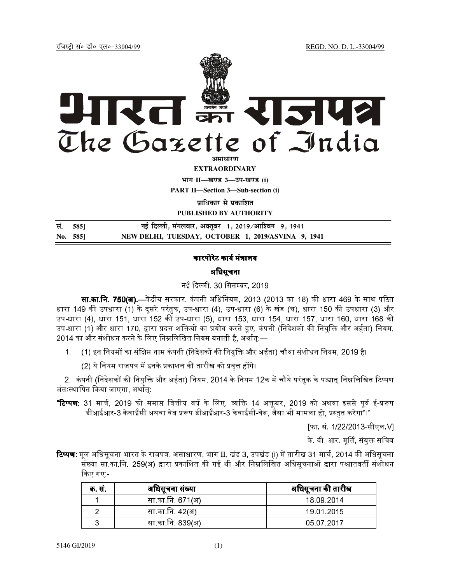REGD. NO. D. L.-33004/99

रजिस्टी सं० डी० एल०-33004/99



**EXTRAORDINARY** भाग II-खण्ड 3-उप-खण्ड (i)

**PART II-Section 3-Sub-section (i)** 

पाधिकार से पकाशित

PUBLISHED BY AUTHORITY

| सं. 585] | नई दिल्ली, मंगलवार, अक्तूबर   1, 2019/आश्विन   9, 1941 |
|----------|--------------------------------------------------------|
| No. 585  | NEW DELHI, TUESDAY, OCTOBER 1, 2019/ASVINA 9, 1941     |

# कारपोरेट कार्य मंत्रालय

## अधिसूचना

## नई दिल्ली, 30 सितम्बर, 2019

**सा.का.नि. 750(अ).—**केंद्रीय सरकार, कंपनी अधिनियम, 2013 (2013 का 18) की धारा 469 के साथ पठित धारा 149 की उपधारा (1) के दूसरे परंतुक, उप-धारा (4), उप-धारा (6) के खंड (च), धारा 150 की उपधारा (3) और उप-धारा (4), धारा 151, धारा 152 की उप-धारा (5), धारा 153, धारा 154, धारा 157, धारा 160, धारा 168 की उप-धारा (1) और धारा 170, द्वारा प्रदत्त शक्तियों का प्रयोग करते हुए, कंपनी (निदेशकों की नियुक्ति और अर्हता) नियम, 2014 का और संशोधन करने के लिए निम्नलिखित नियम बनाती है. अर्थात:—

(1) इन नियमों का संक्षिप्त नाम कंपनी (निदेशकों की नियुक्ति और अर्हता) चौथा संशोधन नियम, 2019 है।  $1<sup>1</sup>$ 

(2) ये नियम राजपत्र में इनके प्रकाशन की तारीख को प्रवत्त होंगे।

2. कंपनी (निदेशकों की नियक्ति और अर्हता) नियम, 2014 के नियम 12क में चौथे परंतक के पश्चात निम्नलिखित टिप्पण अंतःस्थापित किया जाएगा, अर्थातुः

**"टिप्पण:** 31 मार्च, 2019 को समाप्त वित्तीय वर्ष के लिए, व्यक्ति 14 अक्तूबर, 2019 को अथवा इससे पूर्व ई-प्ररूप डीआईआर-3 केवाईसी अथवा वेब प्ररूप डीआईआर-3 केवाईसी-वेब, जैसा भी मामला हो, प्रस्तुत करेगा"।"

[फा. सं. 1/22/2013-सीएल V]

के वी आर मूर्ति, संयुक्त सचिव

**टिप्पण**: मूल अधिसूचना भारत के राजपत्र, असाधारण, भाग II, खंड 3, उपखंड (i) में तारीख 31 मार्च, 2014 की अधिसूचना संख्या सा.का.नि. 259(अ) द्वारा प्रकाशित की गई थी और निम्नलिखित अधिसूचनाओं द्वारा पश्चातवर्ती संशोधन किए गए -

| क सं | अधिसूचना संख्या | अधिसूचना की तारीख |
|------|-----------------|-------------------|
|      | सा का नि 671(अ) | 18 09 2014        |
|      | सा का नि 42(अ)  | 19 01 2015        |
|      | सा का नि 839(अ) | 05 07 2017        |